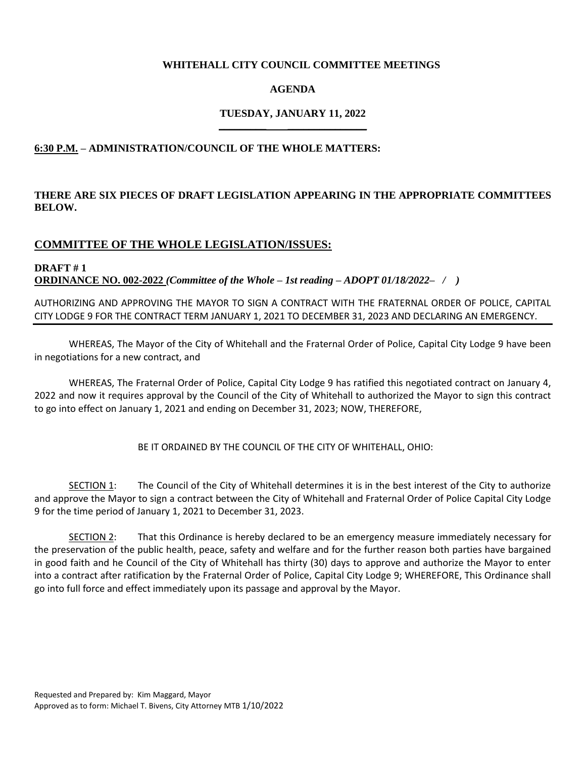## **WHITEHALL CITY COUNCIL COMMITTEE MEETINGS**

# **AGENDA**

## **TUESDAY, JANUARY 11, 2022 \_\_\_\_\_\_\_\_\_ \_\_\_\_\_\_\_\_\_\_\_\_\_\_\_**

# **6:30 P.M. – ADMINISTRATION/COUNCIL OF THE WHOLE MATTERS:**

# **THERE ARE SIX PIECES OF DRAFT LEGISLATION APPEARING IN THE APPROPRIATE COMMITTEES BELOW.**

# **COMMITTEE OF THE WHOLE LEGISLATION/ISSUES:**

**DRAFT # 1 ORDINANCE NO. 002-2022** *(Committee of the Whole – 1st reading – ADOPT 01/18/2022– / )*

## AUTHORIZING AND APPROVING THE MAYOR TO SIGN A CONTRACT WITH THE FRATERNAL ORDER OF POLICE, CAPITAL CITY LODGE 9 FOR THE CONTRACT TERM JANUARY 1, 2021 TO DECEMBER 31, 2023 AND DECLARING AN EMERGENCY.

WHEREAS, The Mayor of the City of Whitehall and the Fraternal Order of Police, Capital City Lodge 9 have been in negotiations for a new contract, and

WHEREAS, The Fraternal Order of Police, Capital City Lodge 9 has ratified this negotiated contract on January 4, 2022 and now it requires approval by the Council of the City of Whitehall to authorized the Mayor to sign this contract to go into effect on January 1, 2021 and ending on December 31, 2023; NOW, THEREFORE,

BE IT ORDAINED BY THE COUNCIL OF THE CITY OF WHITEHALL, OHIO:

SECTION 1: The Council of the City of Whitehall determines it is in the best interest of the City to authorize and approve the Mayor to sign a contract between the City of Whitehall and Fraternal Order of Police Capital City Lodge 9 for the time period of January 1, 2021 to December 31, 2023.

SECTION 2: That this Ordinance is hereby declared to be an emergency measure immediately necessary for the preservation of the public health, peace, safety and welfare and for the further reason both parties have bargained in good faith and he Council of the City of Whitehall has thirty (30) days to approve and authorize the Mayor to enter into a contract after ratification by the Fraternal Order of Police, Capital City Lodge 9; WHEREFORE, This Ordinance shall go into full force and effect immediately upon its passage and approval by the Mayor.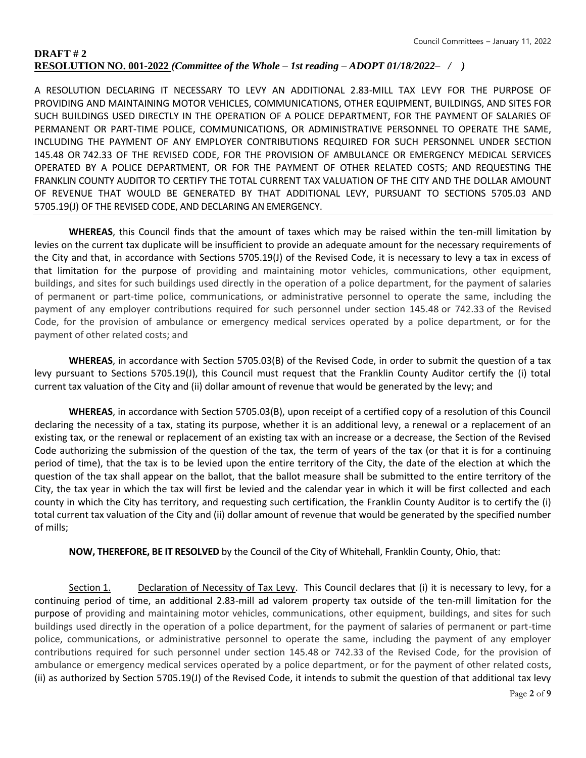# **DRAFT # 2 RESOLUTION NO. 001-2022** *(Committee of the Whole – 1st reading – ADOPT 01/18/2022– / )*

A RESOLUTION DECLARING IT NECESSARY TO LEVY AN ADDITIONAL 2.83-MILL TAX LEVY FOR THE PURPOSE OF PROVIDING AND MAINTAINING MOTOR VEHICLES, COMMUNICATIONS, OTHER EQUIPMENT, BUILDINGS, AND SITES FOR SUCH BUILDINGS USED DIRECTLY IN THE OPERATION OF A POLICE DEPARTMENT, FOR THE PAYMENT OF SALARIES OF PERMANENT OR PART-TIME POLICE, COMMUNICATIONS, OR ADMINISTRATIVE PERSONNEL TO OPERATE THE SAME, INCLUDING THE PAYMENT OF ANY EMPLOYER CONTRIBUTIONS REQUIRED FOR SUCH PERSONNEL UNDER SECTION 145.48 OR 742.33 OF THE REVISED CODE, FOR THE PROVISION OF AMBULANCE OR EMERGENCY MEDICAL SERVICES OPERATED BY A POLICE DEPARTMENT, OR FOR THE PAYMENT OF OTHER RELATED COSTS; AND REQUESTING THE FRANKLIN COUNTY AUDITOR TO CERTIFY THE TOTAL CURRENT TAX VALUATION OF THE CITY AND THE DOLLAR AMOUNT OF REVENUE THAT WOULD BE GENERATED BY THAT ADDITIONAL LEVY, PURSUANT TO SECTIONS 5705.03 AND 5705.19(J) OF THE REVISED CODE, AND DECLARING AN EMERGENCY.

**WHEREAS**, this Council finds that the amount of taxes which may be raised within the ten-mill limitation by levies on the current tax duplicate will be insufficient to provide an adequate amount for the necessary requirements of the City and that, in accordance with Sections 5705.19(J) of the Revised Code, it is necessary to levy a tax in excess of that limitation for the purpose of providing and maintaining motor vehicles, communications, other equipment, buildings, and sites for such buildings used directly in the operation of a police department, for the payment of salaries of permanent or part-time police, communications, or administrative personnel to operate the same, including the payment of any employer contributions required for such personnel under section 145.48 or 742.33 of the Revised Code, for the provision of ambulance or emergency medical services operated by a police department, or for the payment of other related costs; and

**WHEREAS**, in accordance with Section 5705.03(B) of the Revised Code, in order to submit the question of a tax levy pursuant to Sections 5705.19(J), this Council must request that the Franklin County Auditor certify the (i) total current tax valuation of the City and (ii) dollar amount of revenue that would be generated by the levy; and

**WHEREAS**, in accordance with Section 5705.03(B), upon receipt of a certified copy of a resolution of this Council declaring the necessity of a tax, stating its purpose, whether it is an additional levy, a renewal or a replacement of an existing tax, or the renewal or replacement of an existing tax with an increase or a decrease, the Section of the Revised Code authorizing the submission of the question of the tax, the term of years of the tax (or that it is for a continuing period of time), that the tax is to be levied upon the entire territory of the City, the date of the election at which the question of the tax shall appear on the ballot, that the ballot measure shall be submitted to the entire territory of the City, the tax year in which the tax will first be levied and the calendar year in which it will be first collected and each county in which the City has territory, and requesting such certification, the Franklin County Auditor is to certify the (i) total current tax valuation of the City and (ii) dollar amount of revenue that would be generated by the specified number of mills;

**NOW, THEREFORE, BE IT RESOLVED** by the Council of the City of Whitehall, Franklin County, Ohio, that:

Section 1. Declaration of Necessity of Tax Levy. This Council declares that (i) it is necessary to levy, for a continuing period of time, an additional 2.83-mill ad valorem property tax outside of the ten-mill limitation for the purpose of providing and maintaining motor vehicles, communications, other equipment, buildings, and sites for such buildings used directly in the operation of a police department, for the payment of salaries of permanent or part-time police, communications, or administrative personnel to operate the same, including the payment of any employer contributions required for such personnel under section 145.48 or 742.33 of the Revised Code, for the provision of ambulance or emergency medical services operated by a police department, or for the payment of other related costs, (ii) as authorized by Section 5705.19(J) of the Revised Code, it intends to submit the question of that additional tax levy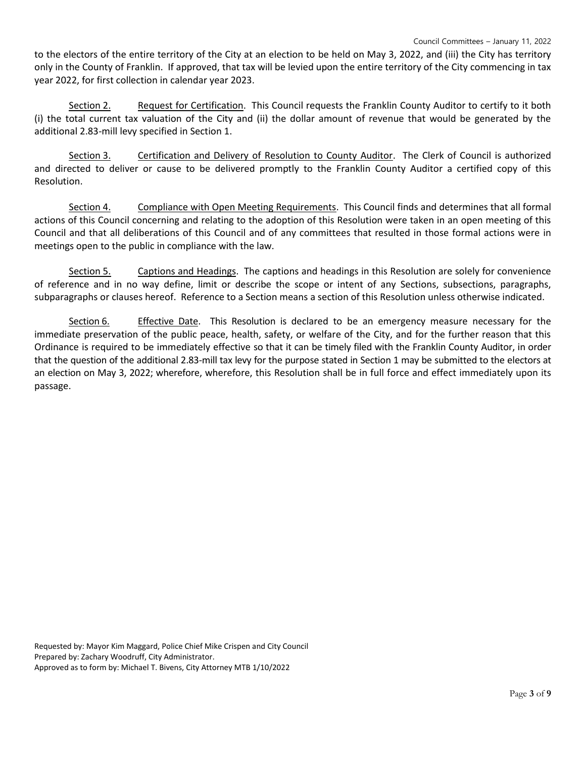to the electors of the entire territory of the City at an election to be held on May 3, 2022, and (iii) the City has territory only in the County of Franklin. If approved, that tax will be levied upon the entire territory of the City commencing in tax year 2022, for first collection in calendar year 2023.

Section 2. Request for Certification. This Council requests the Franklin County Auditor to certify to it both (i) the total current tax valuation of the City and (ii) the dollar amount of revenue that would be generated by the additional 2.83-mill levy specified in Section 1.

Section 3. Certification and Delivery of Resolution to County Auditor. The Clerk of Council is authorized and directed to deliver or cause to be delivered promptly to the Franklin County Auditor a certified copy of this Resolution.

Section 4. Compliance with Open Meeting Requirements. This Council finds and determines that all formal actions of this Council concerning and relating to the adoption of this Resolution were taken in an open meeting of this Council and that all deliberations of this Council and of any committees that resulted in those formal actions were in meetings open to the public in compliance with the law.

Section 5. Captions and Headings. The captions and headings in this Resolution are solely for convenience of reference and in no way define, limit or describe the scope or intent of any Sections, subsections, paragraphs, subparagraphs or clauses hereof. Reference to a Section means a section of this Resolution unless otherwise indicated.

Section 6. Effective Date. This Resolution is declared to be an emergency measure necessary for the immediate preservation of the public peace, health, safety, or welfare of the City, and for the further reason that this Ordinance is required to be immediately effective so that it can be timely filed with the Franklin County Auditor, in order that the question of the additional 2.83-mill tax levy for the purpose stated in Section 1 may be submitted to the electors at an election on May 3, 2022; wherefore, wherefore, this Resolution shall be in full force and effect immediately upon its passage.

Requested by: Mayor Kim Maggard, Police Chief Mike Crispen and City Council Prepared by: Zachary Woodruff, City Administrator. Approved as to form by: Michael T. Bivens, City Attorney MTB 1/10/2022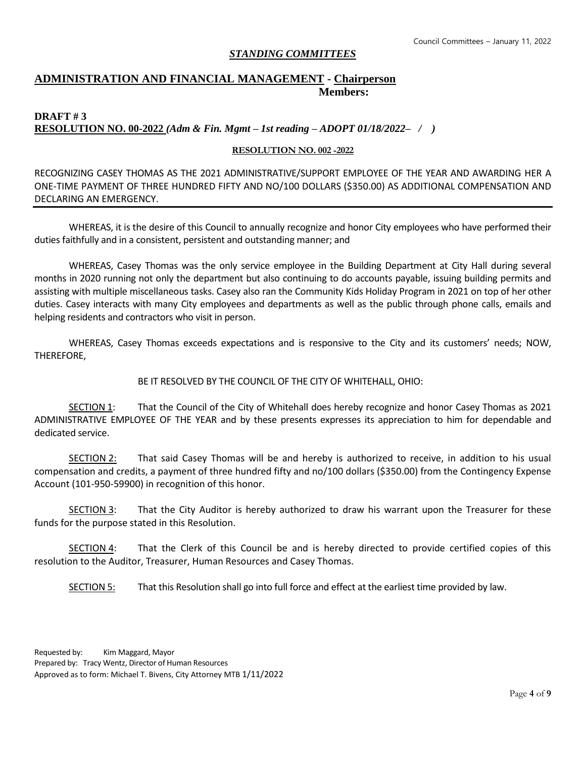## *STANDING COMMITTEES*

# **ADMINISTRATION AND FINANCIAL MANAGEMENT - Chairperson Members:**

## **DRAFT # 3 RESOLUTION NO. 00-2022** *(Adm & Fin. Mgmt – 1st reading – ADOPT 01/18/2022– / )*

### **RESOLUTION NO. 002 -2022**

RECOGNIZING CASEY THOMAS AS THE 2021 ADMINISTRATIVE/SUPPORT EMPLOYEE OF THE YEAR AND AWARDING HER A ONE-TIME PAYMENT OF THREE HUNDRED FIFTY AND NO/100 DOLLARS (\$350.00) AS ADDITIONAL COMPENSATION AND DECLARING AN EMERGENCY.

WHEREAS, it is the desire of this Council to annually recognize and honor City employees who have performed their duties faithfully and in a consistent, persistent and outstanding manner; and

WHEREAS, Casey Thomas was the only service employee in the Building Department at City Hall during several months in 2020 running not only the department but also continuing to do accounts payable, issuing building permits and assisting with multiple miscellaneous tasks. Casey also ran the Community Kids Holiday Program in 2021 on top of her other duties. Casey interacts with many City employees and departments as well as the public through phone calls, emails and helping residents and contractors who visit in person.

WHEREAS, Casey Thomas exceeds expectations and is responsive to the City and its customers' needs; NOW, THEREFORE,

## BE IT RESOLVED BY THE COUNCIL OF THE CITY OF WHITEHALL, OHIO:

SECTION 1: That the Council of the City of Whitehall does hereby recognize and honor Casey Thomas as 2021 ADMINISTRATIVE EMPLOYEE OF THE YEAR and by these presents expresses its appreciation to him for dependable and dedicated service.

SECTION 2: That said Casey Thomas will be and hereby is authorized to receive, in addition to his usual compensation and credits, a payment of three hundred fifty and no/100 dollars (\$350.00) from the Contingency Expense Account (101-950-59900) in recognition of this honor.

SECTION 3: That the City Auditor is hereby authorized to draw his warrant upon the Treasurer for these funds for the purpose stated in this Resolution.

SECTION 4: That the Clerk of this Council be and is hereby directed to provide certified copies of this resolution to the Auditor, Treasurer, Human Resources and Casey Thomas.

SECTION 5: That this Resolution shall go into full force and effect at the earliest time provided by law.

Requested by: Kim Maggard, Mayor Prepared by: Tracy Wentz, Director of Human Resources Approved as to form: Michael T. Bivens, City Attorney MTB 1/11/2022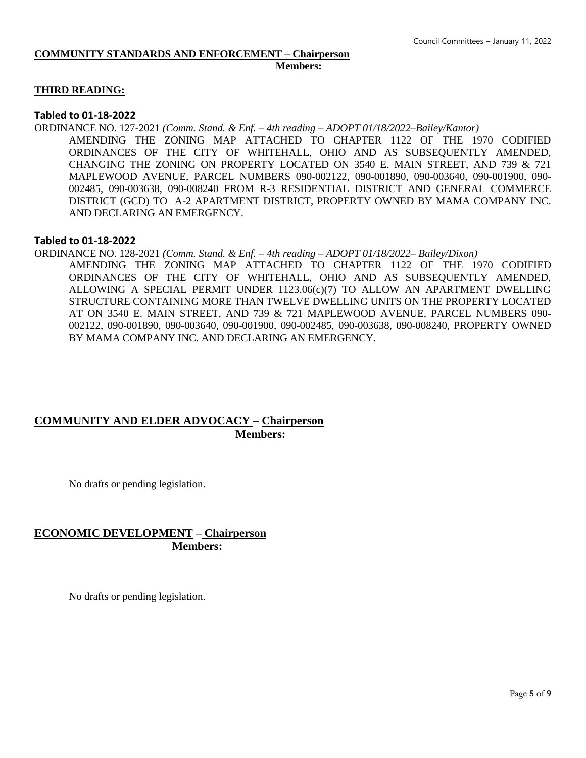#### **COMMUNITY STANDARDS AND ENFORCEMENT – Chairperson Members:**

### **THIRD READING:**

### **Tabled to 01-18-2022**

ORDINANCE NO. 127-2021 *(Comm. Stand. & Enf. – 4th reading – ADOPT 01/18/2022–Bailey/Kantor)*

AMENDING THE ZONING MAP ATTACHED TO CHAPTER 1122 OF THE 1970 CODIFIED ORDINANCES OF THE CITY OF WHITEHALL, OHIO AND AS SUBSEQUENTLY AMENDED, CHANGING THE ZONING ON PROPERTY LOCATED ON 3540 E. MAIN STREET, AND 739 & 721 MAPLEWOOD AVENUE, PARCEL NUMBERS 090-002122, 090-001890, 090-003640, 090-001900, 090- 002485, 090-003638, 090-008240 FROM R-3 RESIDENTIAL DISTRICT AND GENERAL COMMERCE DISTRICT (GCD) TO A-2 APARTMENT DISTRICT, PROPERTY OWNED BY MAMA COMPANY INC. AND DECLARING AN EMERGENCY.

### **Tabled to 01-18-2022**

ORDINANCE NO. 128-2021 *(Comm. Stand. & Enf. – 4th reading – ADOPT 01/18/2022– Bailey/Dixon)*

AMENDING THE ZONING MAP ATTACHED TO CHAPTER 1122 OF THE 1970 CODIFIED ORDINANCES OF THE CITY OF WHITEHALL, OHIO AND AS SUBSEQUENTLY AMENDED, ALLOWING A SPECIAL PERMIT UNDER 1123.06(c)(7) TO ALLOW AN APARTMENT DWELLING STRUCTURE CONTAINING MORE THAN TWELVE DWELLING UNITS ON THE PROPERTY LOCATED AT ON 3540 E. MAIN STREET, AND 739 & 721 MAPLEWOOD AVENUE, PARCEL NUMBERS 090- 002122, 090-001890, 090-003640, 090-001900, 090-002485, 090-003638, 090-008240, PROPERTY OWNED BY MAMA COMPANY INC. AND DECLARING AN EMERGENCY.

# **COMMUNITY AND ELDER ADVOCACY – Chairperson Members:**

No drafts or pending legislation.

# **ECONOMIC DEVELOPMENT – Chairperson Members:**

No drafts or pending legislation.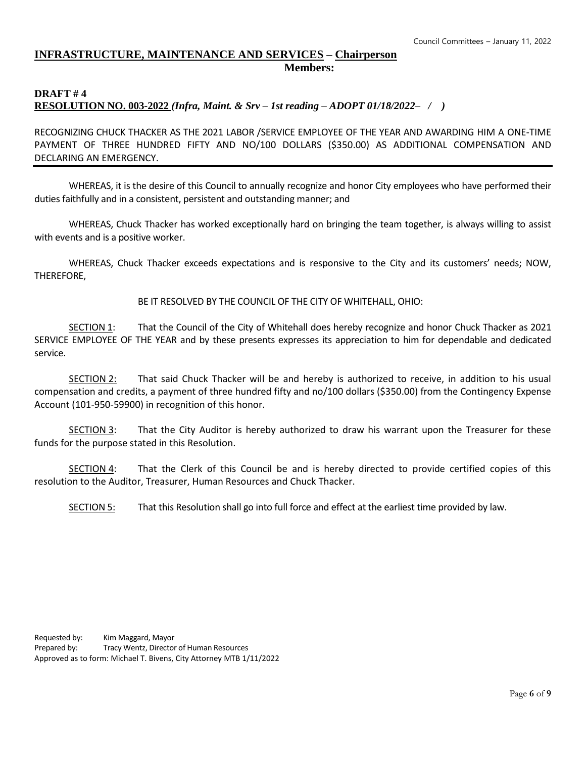# **INFRASTRUCTURE, MAINTENANCE AND SERVICES – Chairperson Members:**

### **DRAFT # 4 RESOLUTION NO. 003-2022** *(Infra, Maint. & Srv – 1st reading – ADOPT 01/18/2022– / )*

RECOGNIZING CHUCK THACKER AS THE 2021 LABOR /SERVICE EMPLOYEE OF THE YEAR AND AWARDING HIM A ONE-TIME PAYMENT OF THREE HUNDRED FIFTY AND NO/100 DOLLARS (\$350.00) AS ADDITIONAL COMPENSATION AND DECLARING AN EMERGENCY.

WHEREAS, it is the desire of this Council to annually recognize and honor City employees who have performed their duties faithfully and in a consistent, persistent and outstanding manner; and

WHEREAS, Chuck Thacker has worked exceptionally hard on bringing the team together, is always willing to assist with events and is a positive worker.

WHEREAS, Chuck Thacker exceeds expectations and is responsive to the City and its customers' needs; NOW, THEREFORE,

BE IT RESOLVED BY THE COUNCIL OF THE CITY OF WHITEHALL, OHIO:

SECTION 1: That the Council of the City of Whitehall does hereby recognize and honor Chuck Thacker as 2021 SERVICE EMPLOYEE OF THE YEAR and by these presents expresses its appreciation to him for dependable and dedicated service.

SECTION 2: That said Chuck Thacker will be and hereby is authorized to receive, in addition to his usual compensation and credits, a payment of three hundred fifty and no/100 dollars (\$350.00) from the Contingency Expense Account (101-950-59900) in recognition of this honor.

SECTION 3: That the City Auditor is hereby authorized to draw his warrant upon the Treasurer for these funds for the purpose stated in this Resolution.

SECTION 4: That the Clerk of this Council be and is hereby directed to provide certified copies of this resolution to the Auditor, Treasurer, Human Resources and Chuck Thacker.

SECTION 5: That this Resolution shall go into full force and effect at the earliest time provided by law.

Requested by: Kim Maggard, Mayor Prepared by: Tracy Wentz, Director of Human Resources Approved as to form: Michael T. Bivens, City Attorney MTB 1/11/2022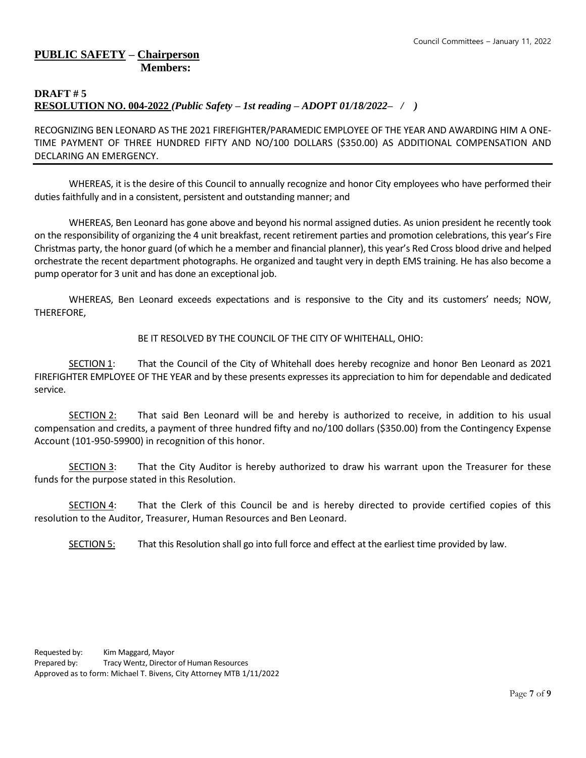# **PUBLIC SAFETY – Chairperson Members:**

# **DRAFT # 5 RESOLUTION NO. 004-2022** *(Public Safety – 1st reading – ADOPT 01/18/2022– / )*

RECOGNIZING BEN LEONARD AS THE 2021 FIREFIGHTER/PARAMEDIC EMPLOYEE OF THE YEAR AND AWARDING HIM A ONE-TIME PAYMENT OF THREE HUNDRED FIFTY AND NO/100 DOLLARS (\$350.00) AS ADDITIONAL COMPENSATION AND DECLARING AN EMERGENCY.

WHEREAS, it is the desire of this Council to annually recognize and honor City employees who have performed their duties faithfully and in a consistent, persistent and outstanding manner; and

WHEREAS, Ben Leonard has gone above and beyond his normal assigned duties. As union president he recently took on the responsibility of organizing the 4 unit breakfast, recent retirement parties and promotion celebrations, this year's Fire Christmas party, the honor guard (of which he a member and financial planner), this year's Red Cross blood drive and helped orchestrate the recent department photographs. He organized and taught very in depth EMS training. He has also become a pump operator for 3 unit and has done an exceptional job.

WHEREAS, Ben Leonard exceeds expectations and is responsive to the City and its customers' needs; NOW, THEREFORE,

BE IT RESOLVED BY THE COUNCIL OF THE CITY OF WHITEHALL, OHIO:

SECTION 1: That the Council of the City of Whitehall does hereby recognize and honor Ben Leonard as 2021 FIREFIGHTER EMPLOYEE OF THE YEAR and by these presents expresses its appreciation to him for dependable and dedicated service.

SECTION 2: That said Ben Leonard will be and hereby is authorized to receive, in addition to his usual compensation and credits, a payment of three hundred fifty and no/100 dollars (\$350.00) from the Contingency Expense Account (101-950-59900) in recognition of this honor.

SECTION 3: That the City Auditor is hereby authorized to draw his warrant upon the Treasurer for these funds for the purpose stated in this Resolution.

SECTION 4: That the Clerk of this Council be and is hereby directed to provide certified copies of this resolution to the Auditor, Treasurer, Human Resources and Ben Leonard.

SECTION 5: That this Resolution shall go into full force and effect at the earliest time provided by law.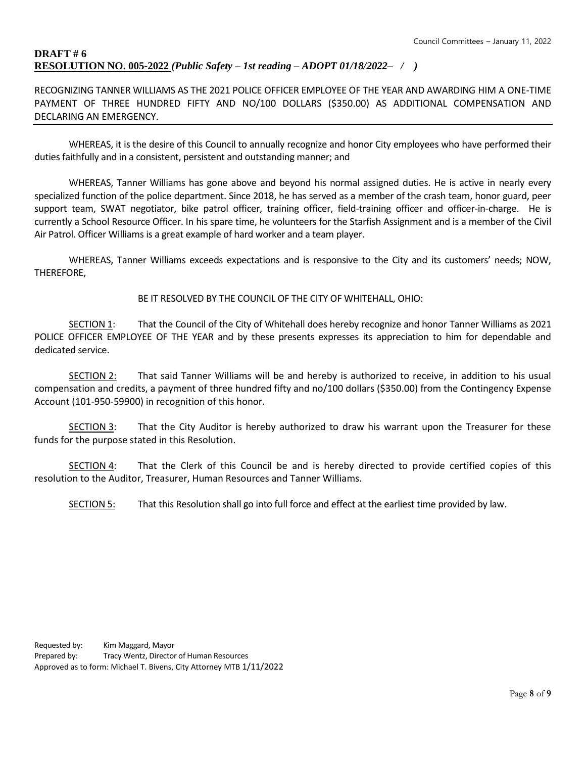## **DRAFT # 6 RESOLUTION NO. 005-2022** *(Public Safety – 1st reading – ADOPT 01/18/2022– / )*

RECOGNIZING TANNER WILLIAMS AS THE 2021 POLICE OFFICER EMPLOYEE OF THE YEAR AND AWARDING HIM A ONE-TIME PAYMENT OF THREE HUNDRED FIFTY AND NO/100 DOLLARS (\$350.00) AS ADDITIONAL COMPENSATION AND DECLARING AN EMERGENCY.

WHEREAS, it is the desire of this Council to annually recognize and honor City employees who have performed their duties faithfully and in a consistent, persistent and outstanding manner; and

WHEREAS, Tanner Williams has gone above and beyond his normal assigned duties. He is active in nearly every specialized function of the police department. Since 2018, he has served as a member of the crash team, honor guard, peer support team, SWAT negotiator, bike patrol officer, training officer, field-training officer and officer-in-charge. He is currently a School Resource Officer. In his spare time, he volunteers for the Starfish Assignment and is a member of the Civil Air Patrol. Officer Williams is a great example of hard worker and a team player.

WHEREAS, Tanner Williams exceeds expectations and is responsive to the City and its customers' needs; NOW, THEREFORE,

BE IT RESOLVED BY THE COUNCIL OF THE CITY OF WHITEHALL, OHIO:

SECTION 1: That the Council of the City of Whitehall does hereby recognize and honor Tanner Williams as 2021 POLICE OFFICER EMPLOYEE OF THE YEAR and by these presents expresses its appreciation to him for dependable and dedicated service.

SECTION 2: That said Tanner Williams will be and hereby is authorized to receive, in addition to his usual compensation and credits, a payment of three hundred fifty and no/100 dollars (\$350.00) from the Contingency Expense Account (101-950-59900) in recognition of this honor.

SECTION 3: That the City Auditor is hereby authorized to draw his warrant upon the Treasurer for these funds for the purpose stated in this Resolution.

SECTION 4: That the Clerk of this Council be and is hereby directed to provide certified copies of this resolution to the Auditor, Treasurer, Human Resources and Tanner Williams.

SECTION 5: That this Resolution shall go into full force and effect at the earliest time provided by law.